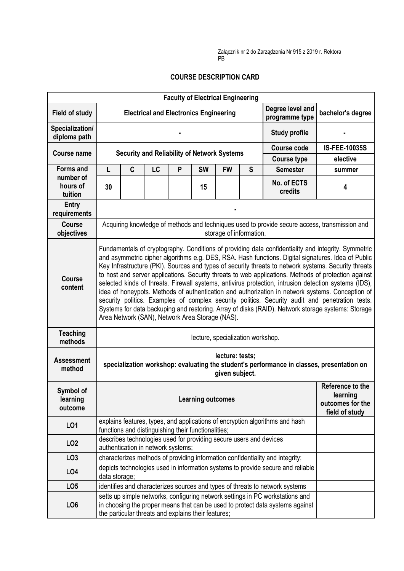## **COURSE DESCRIPTION CARD**

|                                  |                                                                                                                                                                                                                                                                                                                                                                                                                                                                                                                                                                                                                                                                                                                                                                                                                                                                                                   |             |    | <b>Faculty of Electrical Engineering</b>            |           |                                                                                                          |   |                                                                                                                                                                |                      |  |
|----------------------------------|---------------------------------------------------------------------------------------------------------------------------------------------------------------------------------------------------------------------------------------------------------------------------------------------------------------------------------------------------------------------------------------------------------------------------------------------------------------------------------------------------------------------------------------------------------------------------------------------------------------------------------------------------------------------------------------------------------------------------------------------------------------------------------------------------------------------------------------------------------------------------------------------------|-------------|----|-----------------------------------------------------|-----------|----------------------------------------------------------------------------------------------------------|---|----------------------------------------------------------------------------------------------------------------------------------------------------------------|----------------------|--|
| <b>Field of study</b>            |                                                                                                                                                                                                                                                                                                                                                                                                                                                                                                                                                                                                                                                                                                                                                                                                                                                                                                   |             |    |                                                     |           | Degree level and<br><b>Electrical and Electronics Engineering</b><br>bachelor's degree<br>programme type |   |                                                                                                                                                                |                      |  |
| Specialization/<br>diploma path  |                                                                                                                                                                                                                                                                                                                                                                                                                                                                                                                                                                                                                                                                                                                                                                                                                                                                                                   |             |    |                                                     |           |                                                                                                          |   | <b>Study profile</b>                                                                                                                                           |                      |  |
| <b>Course name</b>               |                                                                                                                                                                                                                                                                                                                                                                                                                                                                                                                                                                                                                                                                                                                                                                                                                                                                                                   |             |    |                                                     |           |                                                                                                          |   | <b>Course code</b>                                                                                                                                             | <b>IS-FEE-10035S</b> |  |
|                                  | <b>Security and Reliability of Network Systems</b>                                                                                                                                                                                                                                                                                                                                                                                                                                                                                                                                                                                                                                                                                                                                                                                                                                                |             |    |                                                     |           |                                                                                                          |   | <b>Course type</b>                                                                                                                                             | elective             |  |
| <b>Forms and</b>                 | L.                                                                                                                                                                                                                                                                                                                                                                                                                                                                                                                                                                                                                                                                                                                                                                                                                                                                                                | $\mathbf c$ | LC | P                                                   | <b>SW</b> | <b>FW</b>                                                                                                | S | <b>Semester</b>                                                                                                                                                | summer               |  |
| number of<br>hours of<br>tuition | 30                                                                                                                                                                                                                                                                                                                                                                                                                                                                                                                                                                                                                                                                                                                                                                                                                                                                                                |             |    |                                                     | 15        |                                                                                                          |   | No. of ECTS<br>credits                                                                                                                                         | 4                    |  |
| Entry<br>requirements            |                                                                                                                                                                                                                                                                                                                                                                                                                                                                                                                                                                                                                                                                                                                                                                                                                                                                                                   |             |    |                                                     |           |                                                                                                          |   |                                                                                                                                                                |                      |  |
| <b>Course</b><br>objectives      | Acquiring knowledge of methods and techniques used to provide secure access, transmission and<br>storage of information.                                                                                                                                                                                                                                                                                                                                                                                                                                                                                                                                                                                                                                                                                                                                                                          |             |    |                                                     |           |                                                                                                          |   |                                                                                                                                                                |                      |  |
| <b>Course</b><br>content         | Fundamentals of cryptography. Conditions of providing data confidentiality and integrity. Symmetric<br>and asymmetric cipher algorithms e.g. DES, RSA. Hash functions. Digital signatures. Idea of Public<br>Key Infrastructure (PKI). Sources and types of security threats to network systems. Security threats<br>to host and server applications. Security threats to web applications. Methods of protection against<br>selected kinds of threats. Firewall systems, antivirus protection, intrusion detection systems (IDS),<br>idea of honeypots. Methods of authentication and authorization in network systems. Conception of<br>security politics. Examples of complex security politics. Security audit and penetration tests.<br>Systems for data backuping and restoring. Array of disks (RAID). Network storage systems: Storage<br>Area Network (SAN), Network Area Storage (NAS). |             |    |                                                     |           |                                                                                                          |   |                                                                                                                                                                |                      |  |
| <b>Teaching</b><br>methods       | lecture, specialization workshop.                                                                                                                                                                                                                                                                                                                                                                                                                                                                                                                                                                                                                                                                                                                                                                                                                                                                 |             |    |                                                     |           |                                                                                                          |   |                                                                                                                                                                |                      |  |
| <b>Assessment</b><br>method      | lecture: tests;<br>specialization workshop: evaluating the student's performance in classes, presentation on<br>given subject.                                                                                                                                                                                                                                                                                                                                                                                                                                                                                                                                                                                                                                                                                                                                                                    |             |    |                                                     |           |                                                                                                          |   |                                                                                                                                                                |                      |  |
| Symbol of<br>learning<br>outcome | learning<br><b>Learning outcomes</b>                                                                                                                                                                                                                                                                                                                                                                                                                                                                                                                                                                                                                                                                                                                                                                                                                                                              |             |    |                                                     |           | Reference to the<br>outcomes for the<br>field of study                                                   |   |                                                                                                                                                                |                      |  |
| LO1                              |                                                                                                                                                                                                                                                                                                                                                                                                                                                                                                                                                                                                                                                                                                                                                                                                                                                                                                   |             |    | functions and distinguishing their functionalities; |           |                                                                                                          |   | explains features, types, and applications of encryption algorithms and hash                                                                                   |                      |  |
| LO <sub>2</sub>                  | describes technologies used for providing secure users and devices<br>authentication in network systems;                                                                                                                                                                                                                                                                                                                                                                                                                                                                                                                                                                                                                                                                                                                                                                                          |             |    |                                                     |           |                                                                                                          |   |                                                                                                                                                                |                      |  |
| LO <sub>3</sub>                  |                                                                                                                                                                                                                                                                                                                                                                                                                                                                                                                                                                                                                                                                                                                                                                                                                                                                                                   |             |    |                                                     |           |                                                                                                          |   | characterizes methods of providing information confidentiality and integrity;                                                                                  |                      |  |
| LO <sub>4</sub>                  | depicts technologies used in information systems to provide secure and reliable<br>data storage;                                                                                                                                                                                                                                                                                                                                                                                                                                                                                                                                                                                                                                                                                                                                                                                                  |             |    |                                                     |           |                                                                                                          |   |                                                                                                                                                                |                      |  |
| LO <sub>5</sub>                  |                                                                                                                                                                                                                                                                                                                                                                                                                                                                                                                                                                                                                                                                                                                                                                                                                                                                                                   |             |    |                                                     |           |                                                                                                          |   | identifies and characterizes sources and types of threats to network systems                                                                                   |                      |  |
| LO <sub>6</sub>                  |                                                                                                                                                                                                                                                                                                                                                                                                                                                                                                                                                                                                                                                                                                                                                                                                                                                                                                   |             |    | the particular threats and explains their features; |           |                                                                                                          |   | setts up simple networks, configuring network settings in PC workstations and<br>in choosing the proper means that can be used to protect data systems against |                      |  |